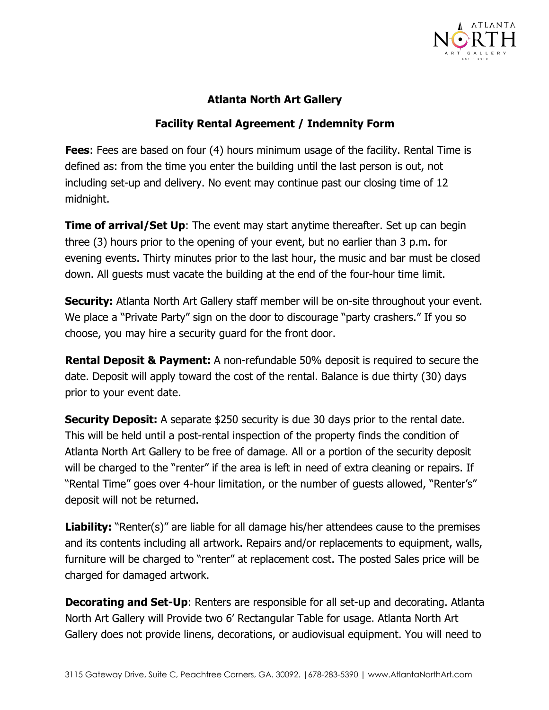

## **Atlanta North Art Gallery**

## **Facility Rental Agreement / Indemnity Form**

**Fees**: Fees are based on four (4) hours minimum usage of the facility. Rental Time is defined as: from the time you enter the building until the last person is out, not including set-up and delivery. No event may continue past our closing time of 12 midnight.

**Time of arrival/Set Up**: The event may start anytime thereafter. Set up can begin three (3) hours prior to the opening of your event, but no earlier than 3 p.m. for evening events. Thirty minutes prior to the last hour, the music and bar must be closed down. All guests must vacate the building at the end of the four-hour time limit.

**Security:** Atlanta North Art Gallery staff member will be on-site throughout your event. We place a "Private Party" sign on the door to discourage "party crashers." If you so choose, you may hire a security guard for the front door.

**Rental Deposit & Payment:** A non-refundable 50% deposit is required to secure the date. Deposit will apply toward the cost of the rental. Balance is due thirty (30) days prior to your event date.

**Security Deposit:** A separate \$250 security is due 30 days prior to the rental date. This will be held until a post-rental inspection of the property finds the condition of Atlanta North Art Gallery to be free of damage. All or a portion of the security deposit will be charged to the "renter" if the area is left in need of extra cleaning or repairs. If "Rental Time" goes over 4-hour limitation, or the number of guests allowed, "Renter's" deposit will not be returned.

**Liability:** "Renter(s)" are liable for all damage his/her attendees cause to the premises and its contents including all artwork. Repairs and/or replacements to equipment, walls, furniture will be charged to "renter" at replacement cost. The posted Sales price will be charged for damaged artwork.

**Decorating and Set-Up:** Renters are responsible for all set-up and decorating. Atlanta North Art Gallery will Provide two 6' Rectangular Table for usage. Atlanta North Art Gallery does not provide linens, decorations, or audiovisual equipment. You will need to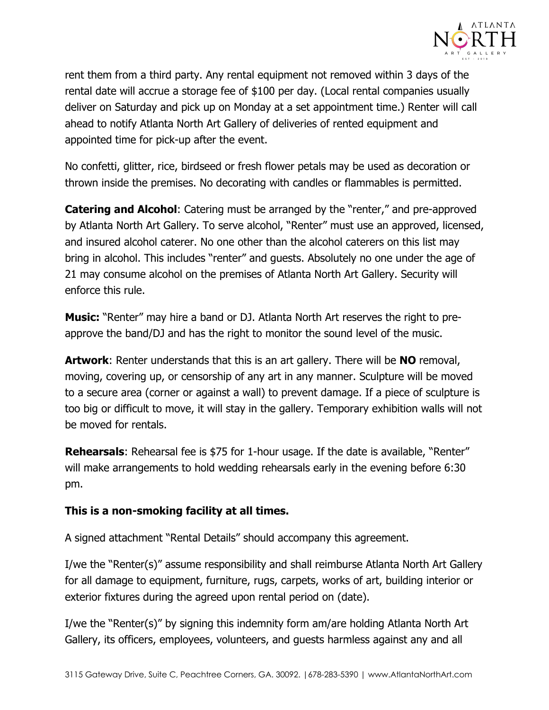

rent them from a third party. Any rental equipment not removed within 3 days of the rental date will accrue a storage fee of \$100 per day. (Local rental companies usually deliver on Saturday and pick up on Monday at a set appointment time.) Renter will call ahead to notify Atlanta North Art Gallery of deliveries of rented equipment and appointed time for pick-up after the event.

No confetti, glitter, rice, birdseed or fresh flower petals may be used as decoration or thrown inside the premises. No decorating with candles or flammables is permitted.

**Catering and Alcohol**: Catering must be arranged by the "renter," and pre-approved by Atlanta North Art Gallery. To serve alcohol, "Renter" must use an approved, licensed, and insured alcohol caterer. No one other than the alcohol caterers on this list may bring in alcohol. This includes "renter" and guests. Absolutely no one under the age of 21 may consume alcohol on the premises of Atlanta North Art Gallery. Security will enforce this rule.

**Music:** "Renter" may hire a band or DJ. Atlanta North Art reserves the right to preapprove the band/DJ and has the right to monitor the sound level of the music.

**Artwork**: Renter understands that this is an art gallery. There will be **NO** removal, moving, covering up, or censorship of any art in any manner. Sculpture will be moved to a secure area (corner or against a wall) to prevent damage. If a piece of sculpture is too big or difficult to move, it will stay in the gallery. Temporary exhibition walls will not be moved for rentals.

**Rehearsals:** Rehearsal fee is \$75 for 1-hour usage. If the date is available, "Renter" will make arrangements to hold wedding rehearsals early in the evening before 6:30 pm.

## **This is a non-smoking facility at all times.**

A signed attachment "Rental Details" should accompany this agreement.

I/we the "Renter(s)" assume responsibility and shall reimburse Atlanta North Art Gallery for all damage to equipment, furniture, rugs, carpets, works of art, building interior or exterior fixtures during the agreed upon rental period on (date).

I/we the "Renter(s)" by signing this indemnity form am/are holding Atlanta North Art Gallery, its officers, employees, volunteers, and guests harmless against any and all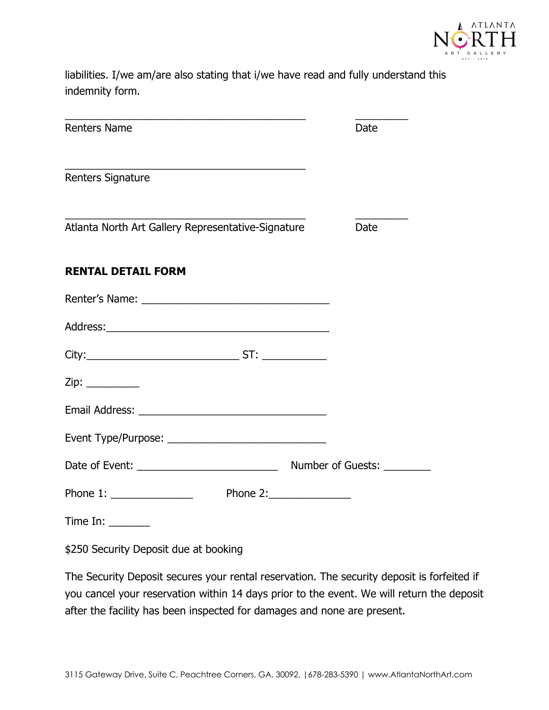

liabilities. I/we am/are also stating that i/we have read and fully understand this indemnity form.

| <b>Renters Name</b>                                | Date |
|----------------------------------------------------|------|
| <b>Renters Signature</b>                           |      |
| Atlanta North Art Gallery Representative-Signature | Date |
| <b>RENTAL DETAIL FORM</b>                          |      |
|                                                    |      |
|                                                    |      |
|                                                    |      |
|                                                    |      |
|                                                    |      |
|                                                    |      |
|                                                    |      |
| Phone 2: $\qquad \qquad$                           |      |
| Time In: $\_\_\_\_\_\_\_\_\_\_\_\_\$               |      |

\$250 Security Deposit due at booking

The Security Deposit secures your rental reservation. The security deposit is forfeited if you cancel your reservation within 14 days prior to the event. We will return the deposit after the facility has been inspected for damages and none are present.